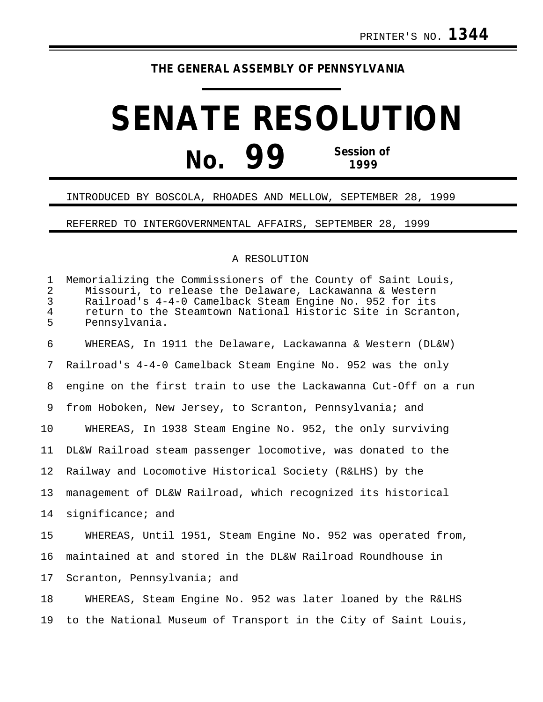## **THE GENERAL ASSEMBLY OF PENNSYLVANIA**

## **SENATE RESOLUTION No. 99 Session of 1999**

## INTRODUCED BY BOSCOLA, RHOADES AND MELLOW, SEPTEMBER 28, 1999

REFERRED TO INTERGOVERNMENTAL AFFAIRS, SEPTEMBER 28, 1999

## A RESOLUTION

| $\mathbf{1}$<br>$\overline{a}$<br>$\mathbf{3}$<br>$\overline{4}$<br>5 | Memorializing the Commissioners of the County of Saint Louis,<br>Missouri, to release the Delaware, Lackawanna & Western<br>Railroad's 4-4-0 Camelback Steam Engine No. 952 for its<br>return to the Steamtown National Historic Site in Scranton,<br>Pennsylvania. |
|-----------------------------------------------------------------------|---------------------------------------------------------------------------------------------------------------------------------------------------------------------------------------------------------------------------------------------------------------------|
| 6                                                                     | WHEREAS, In 1911 the Delaware, Lackawanna & Western (DL&W)                                                                                                                                                                                                          |
| 7                                                                     | Railroad's 4-4-0 Camelback Steam Engine No. 952 was the only                                                                                                                                                                                                        |
| 8                                                                     | engine on the first train to use the Lackawanna Cut-Off on a run                                                                                                                                                                                                    |
| 9                                                                     | from Hoboken, New Jersey, to Scranton, Pennsylvania; and                                                                                                                                                                                                            |
| 10                                                                    | WHEREAS, In 1938 Steam Engine No. 952, the only surviving                                                                                                                                                                                                           |
| 11                                                                    | DL&W Railroad steam passenger locomotive, was donated to the                                                                                                                                                                                                        |
| 12                                                                    | Railway and Locomotive Historical Society (R&LHS) by the                                                                                                                                                                                                            |
| 13                                                                    | management of DL&W Railroad, which recognized its historical                                                                                                                                                                                                        |
| 14                                                                    | significance; and                                                                                                                                                                                                                                                   |
| 15                                                                    | WHEREAS, Until 1951, Steam Engine No. 952 was operated from,                                                                                                                                                                                                        |
| 16                                                                    | maintained at and stored in the DL&W Railroad Roundhouse in                                                                                                                                                                                                         |
| 17                                                                    | Scranton, Pennsylvania; and                                                                                                                                                                                                                                         |
| 18                                                                    | WHEREAS, Steam Engine No. 952 was later loaned by the R&LHS                                                                                                                                                                                                         |
| 19                                                                    | to the National Museum of Transport in the City of Saint Louis,                                                                                                                                                                                                     |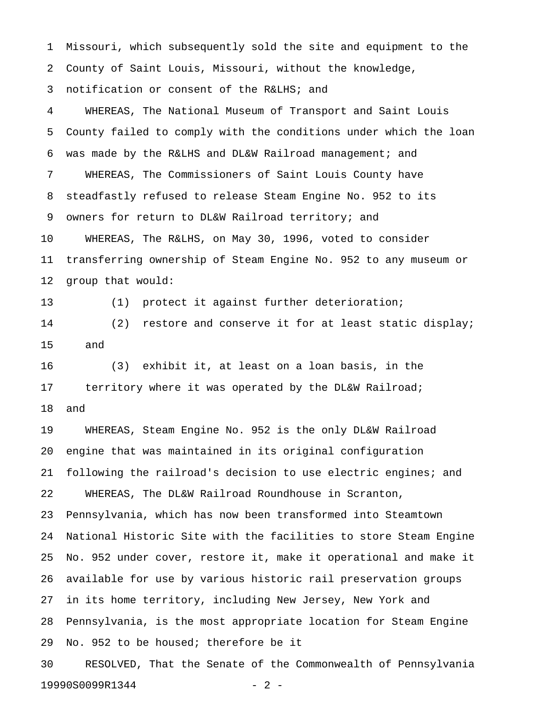1 Missouri, which subsequently sold the site and equipment to the 2 County of Saint Louis, Missouri, without the knowledge, 3 notification or consent of the R&LHS; and

4 WHEREAS, The National Museum of Transport and Saint Louis 5 County failed to comply with the conditions under which the loan 6 was made by the R&LHS and DL&W Railroad management; and 7 WHEREAS, The Commissioners of Saint Louis County have 8 steadfastly refused to release Steam Engine No. 952 to its 9 owners for return to DL&W Railroad territory; and 10 WHEREAS, The R&LHS, on May 30, 1996, voted to consider 11 transferring ownership of Steam Engine No. 952 to any museum or 12 group that would:

13 (1) protect it against further deterioration; 14 (2) restore and conserve it for at least static display; 15 and

16 (3) exhibit it, at least on a loan basis, in the 17 territory where it was operated by the DL&W Railroad; 18 and

19 WHEREAS, Steam Engine No. 952 is the only DL&W Railroad 20 engine that was maintained in its original configuration 21 following the railroad's decision to use electric engines; and 22 WHEREAS, The DL&W Railroad Roundhouse in Scranton, 23 Pennsylvania, which has now been transformed into Steamtown 24 National Historic Site with the facilities to store Steam Engine 25 No. 952 under cover, restore it, make it operational and make it 26 available for use by various historic rail preservation groups 27 in its home territory, including New Jersey, New York and 28 Pennsylvania, is the most appropriate location for Steam Engine 29 No. 952 to be housed; therefore be it

30 RESOLVED, That the Senate of the Commonwealth of Pennsylvania 19990S0099R1344 - 2 -